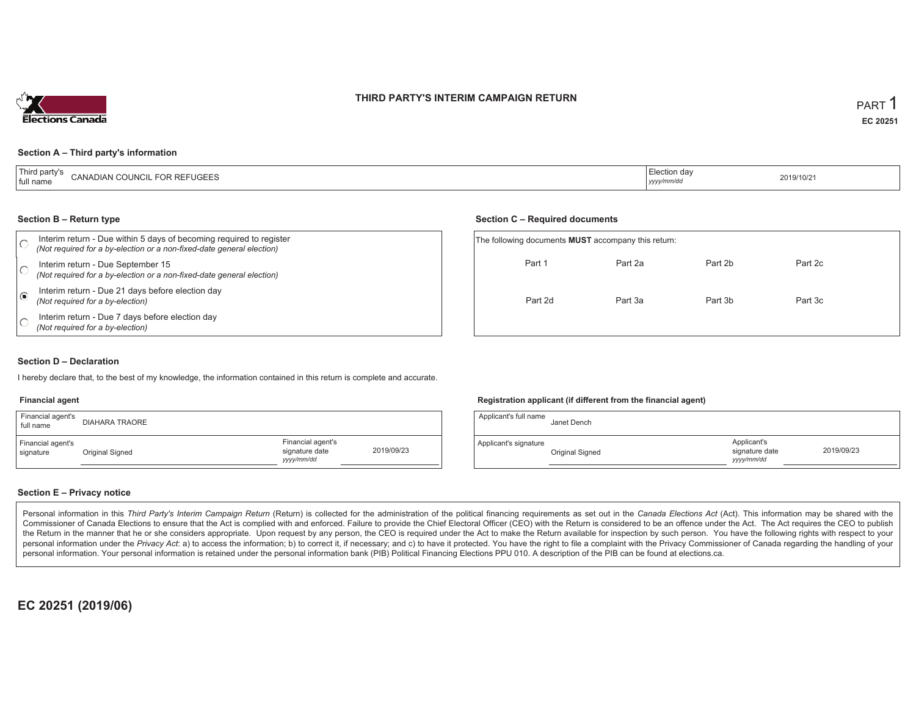#### **THIRD PARTY'S INTERIM CAMPAIGN RETURN**



#### **Section A – Third party's information**

| <sup>1</sup> Third party's<br><b>FOR REFUGEES</b><br>CANADIAN COUNCIL<br><sup>1</sup> full name | ≘lection dav<br>$\sim$ $\sim$<br>  yyyy/mm/d | 2019/10/21 |
|-------------------------------------------------------------------------------------------------|----------------------------------------------|------------|
|-------------------------------------------------------------------------------------------------|----------------------------------------------|------------|

#### **Section B – Return type**

|            | Interim return - Due within 5 days of becoming required to register<br>(Not required for a by-election or a non-fixed-date general election) |  | The following documents <b>MUST</b> accompany this return: |         |         |         |  |  |
|------------|----------------------------------------------------------------------------------------------------------------------------------------------|--|------------------------------------------------------------|---------|---------|---------|--|--|
|            | Interim return - Due September 15<br>(Not required for a by-election or a non-fixed-date general election)                                   |  | Part 1                                                     | Part 2a | Part 2b | Part 2c |  |  |
| $\sqrt{6}$ | Interim return - Due 21 days before election day<br>(Not required for a by-election)                                                         |  | Part 2d                                                    | Part 3a | Part 3b | Part 3c |  |  |
|            | Interim return - Due 7 days before election day<br>(Not required for a by-election)                                                          |  |                                                            |         |         |         |  |  |

#### **Section D – Declaration**

I hereby declare that, to the best of my knowledge, the information contained in this return is complete and accurate.

#### **Financial agent**

| Financial agent's<br>full name | <b>DIAHARA TRAORE</b> |                                                   |            |
|--------------------------------|-----------------------|---------------------------------------------------|------------|
| Financial agent's<br>signature | Original Signed       | Financial agent's<br>signature date<br>yyyy/mm/dd | 2019/09/23 |

#### **Registration applicant (if different from the financial agent)**

**Section C – Required documents**

| Applicant's full name | Janet Dench     |                                            |            |
|-----------------------|-----------------|--------------------------------------------|------------|
| Applicant's signature | Original Signed | Applicant's<br>signature date<br>yyy/mm/dd | 2019/09/23 |

#### **Section E – Privacy notice**

Personal information in this Third Party's Interim Campaign Return (Return) is collected for the administration of the political financing requirements as set out in the Canada Elections Act (Act). This information may be Commissioner of Canada Elections to ensure that the Act is complied with and enforced. Failure to provide the Chief Electoral Officer (CEO) with the Return is considered to be an offence under the Act. The Act requires the the Return in the manner that he or she considers appropriate. Upon request by any person, the CEO is required under the Act to make the Return available for inspection by such person. You have the following rights with re personal information under the Privacy Act: a) to access the information; b) to correct it, if necessary; and c) to have it protected. You have the right to file a complaint with the Privacy Commissioner of Canada regardin personal information. Your personal information is retained under the personal information bank (PIB) Political Financing Elections PPU 010. A description of the PIB can be found at elections.ca.

**EC 20251 (2019/06)**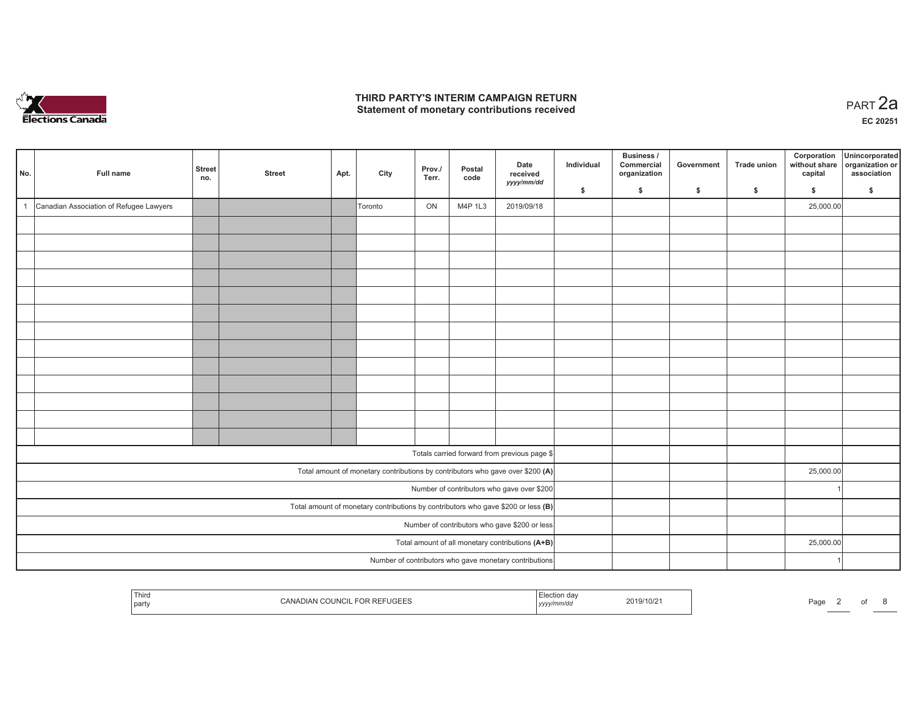

## **THIRD PARTY'S INTERIM CAMPAIGN RETURN**  THIRD PARTY'S INTERIM CAMPAIGN RETURN<br>Statement of monetary contributions received

| No. | Full name                               | <b>Street</b><br>no. | <b>Street</b> | Apt. | City    | Prov./<br>Terr. | Postal<br>code | Date<br>received<br>yyyy/mm/dd                                                    | Individual<br>S. | Business /<br>Commercial<br>organization<br>\$ | Government<br>\$ | <b>Trade union</b><br>\$ | Corporation<br>without share<br>capital<br>\$ | Unincorporated<br>organization or<br>association<br>S. |
|-----|-----------------------------------------|----------------------|---------------|------|---------|-----------------|----------------|-----------------------------------------------------------------------------------|------------------|------------------------------------------------|------------------|--------------------------|-----------------------------------------------|--------------------------------------------------------|
|     | Canadian Association of Refugee Lawyers |                      |               |      | Toronto | ON              | M4P 1L3        | 2019/09/18                                                                        |                  |                                                |                  |                          | 25,000.00                                     |                                                        |
|     |                                         |                      |               |      |         |                 |                |                                                                                   |                  |                                                |                  |                          |                                               |                                                        |
|     |                                         |                      |               |      |         |                 |                |                                                                                   |                  |                                                |                  |                          |                                               |                                                        |
|     |                                         |                      |               |      |         |                 |                |                                                                                   |                  |                                                |                  |                          |                                               |                                                        |
|     |                                         |                      |               |      |         |                 |                |                                                                                   |                  |                                                |                  |                          |                                               |                                                        |
|     |                                         |                      |               |      |         |                 |                |                                                                                   |                  |                                                |                  |                          |                                               |                                                        |
|     |                                         |                      |               |      |         |                 |                |                                                                                   |                  |                                                |                  |                          |                                               |                                                        |
|     |                                         |                      |               |      |         |                 |                |                                                                                   |                  |                                                |                  |                          |                                               |                                                        |
|     |                                         |                      |               |      |         |                 |                |                                                                                   |                  |                                                |                  |                          |                                               |                                                        |
|     |                                         |                      |               |      |         |                 |                |                                                                                   |                  |                                                |                  |                          |                                               |                                                        |
|     |                                         |                      |               |      |         |                 |                |                                                                                   |                  |                                                |                  |                          |                                               |                                                        |
|     |                                         |                      |               |      |         |                 |                |                                                                                   |                  |                                                |                  |                          |                                               |                                                        |
|     |                                         |                      |               |      |         |                 |                |                                                                                   |                  |                                                |                  |                          |                                               |                                                        |
|     |                                         |                      |               |      |         |                 |                |                                                                                   |                  |                                                |                  |                          |                                               |                                                        |
|     |                                         |                      |               |      |         |                 |                |                                                                                   |                  |                                                |                  |                          |                                               |                                                        |
|     |                                         |                      |               |      |         |                 |                | Totals carried forward from previous page \$                                      |                  |                                                |                  |                          |                                               |                                                        |
|     |                                         |                      |               |      |         |                 |                | Total amount of monetary contributions by contributors who gave over \$200 (A)    |                  |                                                |                  |                          | 25,000.00                                     |                                                        |
|     |                                         |                      |               |      |         |                 |                | Number of contributors who gave over \$200                                        |                  |                                                |                  |                          |                                               |                                                        |
|     |                                         |                      |               |      |         |                 |                | Total amount of monetary contributions by contributors who gave \$200 or less (B) |                  |                                                |                  |                          |                                               |                                                        |
|     |                                         |                      |               |      |         |                 |                | Number of contributors who gave \$200 or less                                     |                  |                                                |                  |                          |                                               |                                                        |
|     |                                         |                      |               |      |         |                 |                | Total amount of all monetary contributions (A+B)                                  |                  |                                                |                  |                          | 25,000.00                                     |                                                        |
|     |                                         |                      |               |      |         |                 |                | Number of contributors who gave monetary contributions                            |                  |                                                |                  |                          |                                               |                                                        |

| Thiro<br>part | CANADIAN COUNCIL FOR REFUGEES | Election<br>ı dav<br>, yyyy/mm/dd | 2019/10/21 | Page |  |  |  |  |
|---------------|-------------------------------|-----------------------------------|------------|------|--|--|--|--|
|---------------|-------------------------------|-----------------------------------|------------|------|--|--|--|--|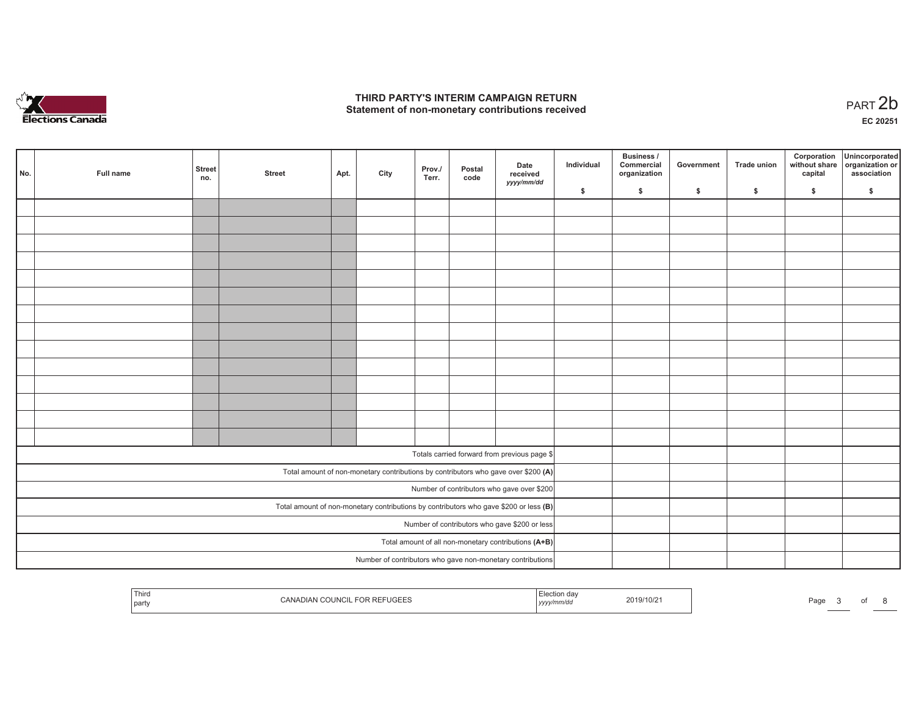

## **THIRD PARTY'S INTERIM CAMPAIGN RETURN**  THIRD PARTY'S INTERIM CAMPAIGN RETURN<br>Statement of non-monetary contributions received<br> **PART 2**b

**EC 20251**

| No. | Full name | <b>Street</b><br>no. | <b>Street</b> | Apt. | City | Prov./<br>Terr. | Postal<br>code | Date<br>received<br>yyyy/mm/dd                                                          | Individual | Business /<br>Commercial<br>organization | Government | <b>Trade union</b> | Corporation<br>without share<br>capital | Unincorporated<br>organization or<br>association |
|-----|-----------|----------------------|---------------|------|------|-----------------|----------------|-----------------------------------------------------------------------------------------|------------|------------------------------------------|------------|--------------------|-----------------------------------------|--------------------------------------------------|
|     |           |                      |               |      |      |                 |                |                                                                                         | \$         | \$                                       | \$         | \$                 | \$                                      | \$                                               |
|     |           |                      |               |      |      |                 |                |                                                                                         |            |                                          |            |                    |                                         |                                                  |
|     |           |                      |               |      |      |                 |                |                                                                                         |            |                                          |            |                    |                                         |                                                  |
|     |           |                      |               |      |      |                 |                |                                                                                         |            |                                          |            |                    |                                         |                                                  |
|     |           |                      |               |      |      |                 |                |                                                                                         |            |                                          |            |                    |                                         |                                                  |
|     |           |                      |               |      |      |                 |                |                                                                                         |            |                                          |            |                    |                                         |                                                  |
|     |           |                      |               |      |      |                 |                |                                                                                         |            |                                          |            |                    |                                         |                                                  |
|     |           |                      |               |      |      |                 |                |                                                                                         |            |                                          |            |                    |                                         |                                                  |
|     |           |                      |               |      |      |                 |                |                                                                                         |            |                                          |            |                    |                                         |                                                  |
|     |           |                      |               |      |      |                 |                |                                                                                         |            |                                          |            |                    |                                         |                                                  |
|     |           |                      |               |      |      |                 |                |                                                                                         |            |                                          |            |                    |                                         |                                                  |
|     |           |                      |               |      |      |                 |                |                                                                                         |            |                                          |            |                    |                                         |                                                  |
|     |           |                      |               |      |      |                 |                |                                                                                         |            |                                          |            |                    |                                         |                                                  |
|     |           |                      |               |      |      |                 |                |                                                                                         |            |                                          |            |                    |                                         |                                                  |
|     |           |                      |               |      |      |                 |                |                                                                                         |            |                                          |            |                    |                                         |                                                  |
|     |           |                      |               |      |      |                 |                | Totals carried forward from previous page \$                                            |            |                                          |            |                    |                                         |                                                  |
|     |           |                      |               |      |      |                 |                | Total amount of non-monetary contributions by contributors who gave over \$200 (A)      |            |                                          |            |                    |                                         |                                                  |
|     |           |                      |               |      |      |                 |                | Number of contributors who gave over \$200                                              |            |                                          |            |                    |                                         |                                                  |
|     |           |                      |               |      |      |                 |                | Total amount of non-monetary contributions by contributors who gave \$200 or less $(B)$ |            |                                          |            |                    |                                         |                                                  |
|     |           |                      |               |      |      |                 |                | Number of contributors who gave \$200 or less                                           |            |                                          |            |                    |                                         |                                                  |
|     |           |                      |               |      |      |                 |                | Total amount of all non-monetary contributions $(A+B)$                                  |            |                                          |            |                    |                                         |                                                  |
|     |           |                      |               |      |      |                 |                | Number of contributors who gave non-monetary contributions                              |            |                                          |            |                    |                                         |                                                  |

| Third<br>part | $\sim$<br>- I J C-i F<br>11 HM 6 | 19 G A<br>$-1111$<br>1 <i>yyyy</i> | Page<br>10/Z |  |
|---------------|----------------------------------|------------------------------------|--------------|--|
|               |                                  |                                    |              |  |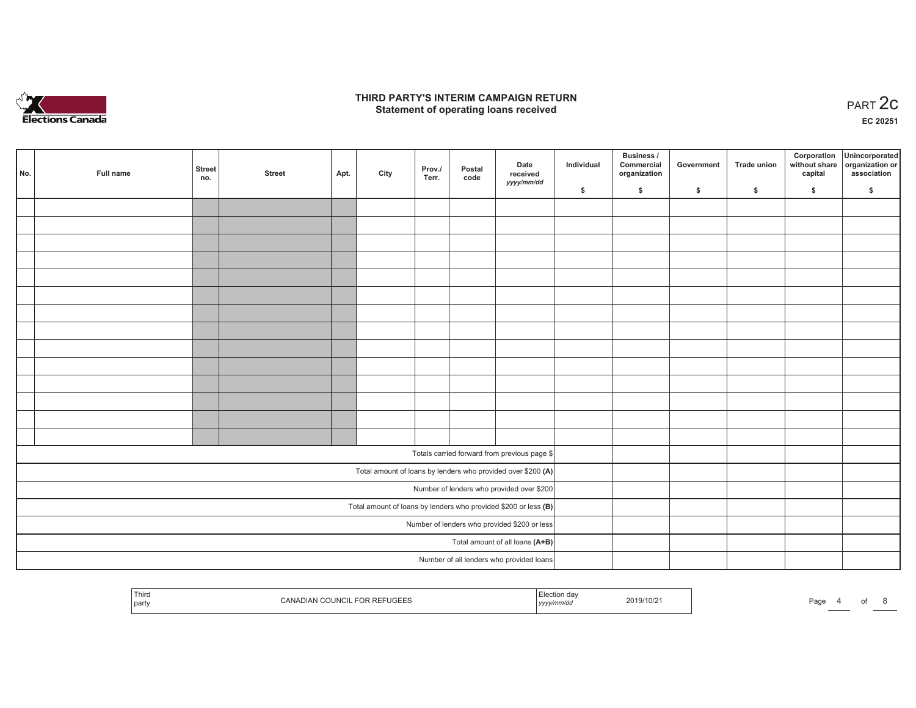

### **THIRD PARTY'S INTERIM CAMPAIGN RETURN**  RD PARTY'S INTERIM CAMPAIGN RETURN<br>Statement of operating loans received **PART 2c**

**EC 20251**

| No. | Full name | <b>Street</b><br>no. | <b>Street</b> | Apt. | City | Prov./<br>Terr. | Postal<br>code | Date<br>received<br>yyyy/mm/dd                                    | Individual | Business /<br>Commercial<br>organization | Government | Trade union   | Corporation | Unincorporated<br>without share organization or<br>capital association |
|-----|-----------|----------------------|---------------|------|------|-----------------|----------------|-------------------------------------------------------------------|------------|------------------------------------------|------------|---------------|-------------|------------------------------------------------------------------------|
|     |           |                      |               |      |      |                 |                |                                                                   | \$         | $\frac{1}{2}$                            | \$         | $\frac{1}{2}$ | \$          | \$                                                                     |
|     |           |                      |               |      |      |                 |                |                                                                   |            |                                          |            |               |             |                                                                        |
|     |           |                      |               |      |      |                 |                |                                                                   |            |                                          |            |               |             |                                                                        |
|     |           |                      |               |      |      |                 |                |                                                                   |            |                                          |            |               |             |                                                                        |
|     |           |                      |               |      |      |                 |                |                                                                   |            |                                          |            |               |             |                                                                        |
|     |           |                      |               |      |      |                 |                |                                                                   |            |                                          |            |               |             |                                                                        |
|     |           |                      |               |      |      |                 |                |                                                                   |            |                                          |            |               |             |                                                                        |
|     |           |                      |               |      |      |                 |                |                                                                   |            |                                          |            |               |             |                                                                        |
|     |           |                      |               |      |      |                 |                |                                                                   |            |                                          |            |               |             |                                                                        |
|     |           |                      |               |      |      |                 |                |                                                                   |            |                                          |            |               |             |                                                                        |
|     |           |                      |               |      |      |                 |                |                                                                   |            |                                          |            |               |             |                                                                        |
|     |           |                      |               |      |      |                 |                |                                                                   |            |                                          |            |               |             |                                                                        |
|     |           |                      |               |      |      |                 |                |                                                                   |            |                                          |            |               |             |                                                                        |
|     |           |                      |               |      |      |                 |                |                                                                   |            |                                          |            |               |             |                                                                        |
|     |           |                      |               |      |      |                 |                |                                                                   |            |                                          |            |               |             |                                                                        |
|     |           |                      |               |      |      |                 |                |                                                                   |            |                                          |            |               |             |                                                                        |
|     |           |                      |               |      |      |                 |                | Totals carried forward from previous page \$                      |            |                                          |            |               |             |                                                                        |
|     |           |                      |               |      |      |                 |                | Total amount of loans by lenders who provided over \$200 (A)      |            |                                          |            |               |             |                                                                        |
|     |           |                      |               |      |      |                 |                | Number of lenders who provided over \$200                         |            |                                          |            |               |             |                                                                        |
|     |           |                      |               |      |      |                 |                | Total amount of loans by lenders who provided \$200 or less $(B)$ |            |                                          |            |               |             |                                                                        |
|     |           |                      |               |      |      |                 |                | Number of lenders who provided \$200 or less                      |            |                                          |            |               |             |                                                                        |
|     |           |                      |               |      |      |                 |                | Total amount of all loans (A+B)                                   |            |                                          |            |               |             |                                                                        |
|     |           |                      |               |      |      |                 |                | Number of all lenders who provided loans                          |            |                                          |            |               |             |                                                                        |
|     |           |                      |               |      |      |                 |                |                                                                   |            |                                          |            |               |             |                                                                        |

| Third<br>αа<br>019/10/2<br>Page<br>ิ⊨ะ<br>' partv<br>, <i>yyyy</i> |  |  |
|--------------------------------------------------------------------|--|--|
|--------------------------------------------------------------------|--|--|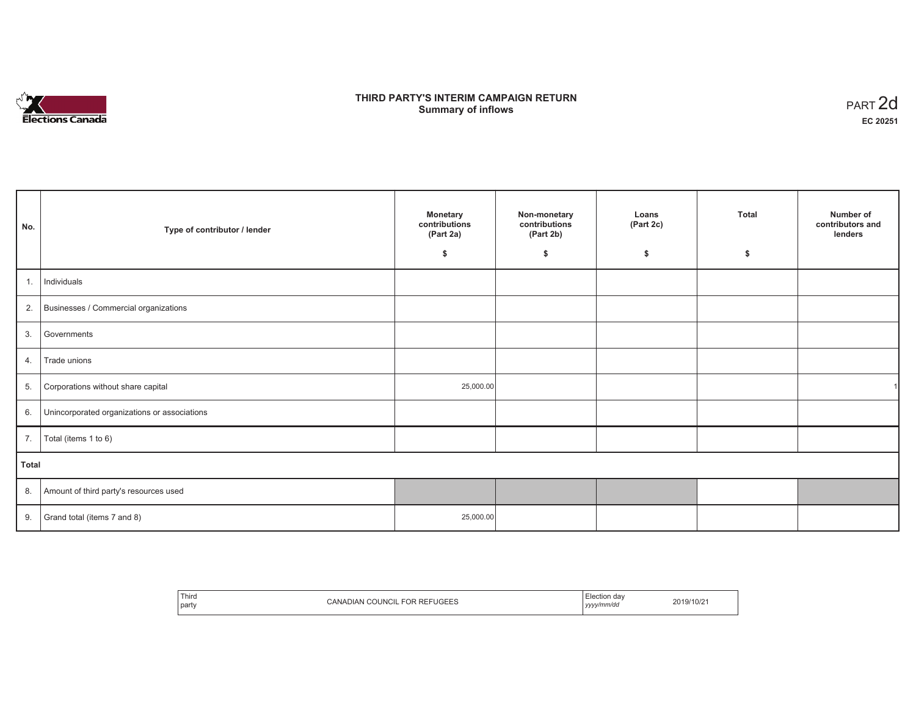

## **THIRD PARTY'S INTERIM CAMPAIGN RETURN SUMMARY STATE SUMPAIGN RETURN SUMMARY SUMMARY OF ART 2d**<br> **Summary of inflows**

| No.   | Type of contributor / lender                 | <b>Monetary</b><br>contributions<br>(Part 2a)<br>-S | Non-monetary<br>contributions<br>(Part 2b)<br>\$ | Loans<br>(Part 2c)<br>\$ | Total<br>\$ | Number of<br>contributors and<br>lenders |
|-------|----------------------------------------------|-----------------------------------------------------|--------------------------------------------------|--------------------------|-------------|------------------------------------------|
| 1.    | Individuals                                  |                                                     |                                                  |                          |             |                                          |
|       | 2. Businesses / Commercial organizations     |                                                     |                                                  |                          |             |                                          |
| 3.    | Governments                                  |                                                     |                                                  |                          |             |                                          |
| 4.    | Trade unions                                 |                                                     |                                                  |                          |             |                                          |
| 5.    | Corporations without share capital           | 25,000.00                                           |                                                  |                          |             |                                          |
| 6.    | Unincorporated organizations or associations |                                                     |                                                  |                          |             |                                          |
| 7.    | Total (items 1 to 6)                         |                                                     |                                                  |                          |             |                                          |
| Total |                                              |                                                     |                                                  |                          |             |                                          |
|       | 8. Amount of third party's resources used    |                                                     |                                                  |                          |             |                                          |
|       | 9. Grand total (items $7$ and $8$ )          | 25,000.00                                           |                                                  |                          |             |                                          |

| Third<br><b>FOR REFUGEES</b><br>$F \cap F$<br><b>COUNCIL</b><br>′ ANADIANن<br>- 1<br>party | da<br>.tion<br>2019/10/21<br>:vvv/mm/dc<br>,,,,, |
|--------------------------------------------------------------------------------------------|--------------------------------------------------|
|--------------------------------------------------------------------------------------------|--------------------------------------------------|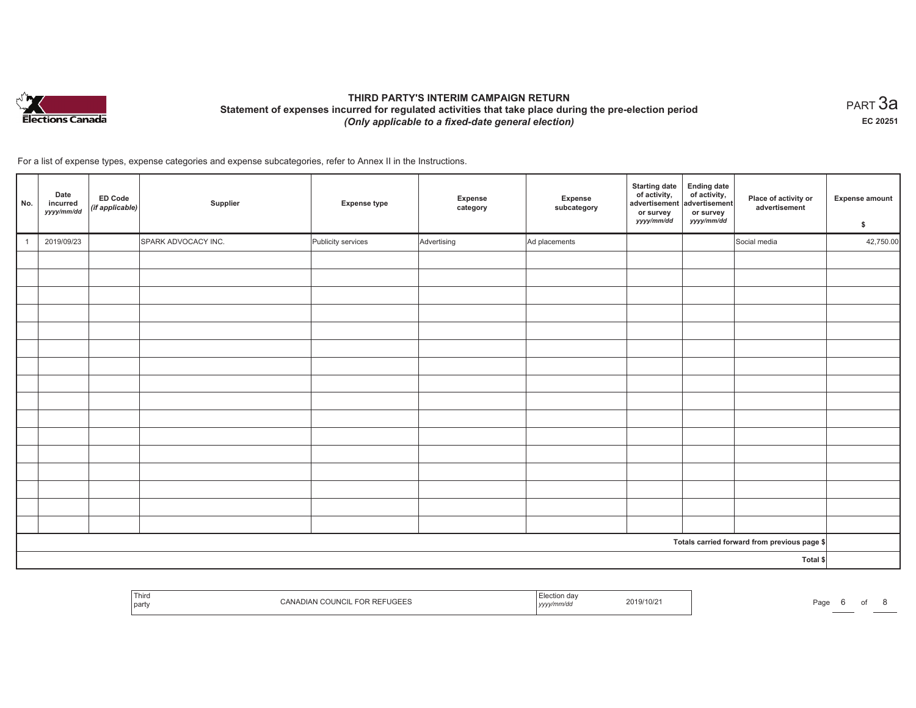

# **THIRD PARTY'S INTERIM CAMPAIGN RETURN Statement of expenses incurred for regulated activities that take place during the pre-election period**  *(Only applicable to a fixed-date general election)*

 $_{\sf PART}$ 3a **EC 20251**

For a list of expense types, expense categories and expense subcategories, refer to Annex II in the Instructions.

| No. | Date<br>incurred<br>yyyy/mm/dd | <b>ED Code</b><br>(if applicable) | Supplier            | <b>Expense type</b> | Expense<br>category | Expense<br>subcategory | <b>Starting date</b><br>of activity,<br>advertisement<br>or survey<br>yyyy/mm/dd | <b>Ending date</b><br>$\begin{array}{c} \text{of activity,} \\ \text{advertisement} \end{array}$<br>or survey<br>yyyy/mm/dd | Place of activity or<br>advertisement        | Expense amount<br>\$ |
|-----|--------------------------------|-----------------------------------|---------------------|---------------------|---------------------|------------------------|----------------------------------------------------------------------------------|-----------------------------------------------------------------------------------------------------------------------------|----------------------------------------------|----------------------|
|     | 2019/09/23                     |                                   | SPARK ADVOCACY INC. | Publicity services  | Advertising         | Ad placements          |                                                                                  |                                                                                                                             | Social media                                 | 42,750.00            |
|     |                                |                                   |                     |                     |                     |                        |                                                                                  |                                                                                                                             |                                              |                      |
|     |                                |                                   |                     |                     |                     |                        |                                                                                  |                                                                                                                             |                                              |                      |
|     |                                |                                   |                     |                     |                     |                        |                                                                                  |                                                                                                                             |                                              |                      |
|     |                                |                                   |                     |                     |                     |                        |                                                                                  |                                                                                                                             |                                              |                      |
|     |                                |                                   |                     |                     |                     |                        |                                                                                  |                                                                                                                             |                                              |                      |
|     |                                |                                   |                     |                     |                     |                        |                                                                                  |                                                                                                                             |                                              |                      |
|     |                                |                                   |                     |                     |                     |                        |                                                                                  |                                                                                                                             |                                              |                      |
|     |                                |                                   |                     |                     |                     |                        |                                                                                  |                                                                                                                             |                                              |                      |
|     |                                |                                   |                     |                     |                     |                        |                                                                                  |                                                                                                                             |                                              |                      |
|     |                                |                                   |                     |                     |                     |                        |                                                                                  |                                                                                                                             |                                              |                      |
|     |                                |                                   |                     |                     |                     |                        |                                                                                  |                                                                                                                             |                                              |                      |
|     |                                |                                   |                     |                     |                     |                        |                                                                                  |                                                                                                                             |                                              |                      |
|     |                                |                                   |                     |                     |                     |                        |                                                                                  |                                                                                                                             |                                              |                      |
|     |                                |                                   |                     |                     |                     |                        |                                                                                  |                                                                                                                             |                                              |                      |
|     |                                |                                   |                     |                     |                     |                        |                                                                                  |                                                                                                                             |                                              |                      |
|     |                                |                                   |                     |                     |                     |                        |                                                                                  |                                                                                                                             |                                              |                      |
|     |                                |                                   |                     |                     |                     |                        |                                                                                  |                                                                                                                             | Totals carried forward from previous page \$ |                      |
|     |                                |                                   |                     |                     |                     |                        |                                                                                  |                                                                                                                             | Total \$                                     |                      |

|  | Third<br>party | 10T<br>२ REI<br>$\bigcap$<br>:AN)<br>-UGEES<br>. | .<br>unvuc<br><b>19999</b> | 2019/10/2 | ∩ה⊏<br>-duu |  | וש |  |
|--|----------------|--------------------------------------------------|----------------------------|-----------|-------------|--|----|--|
|--|----------------|--------------------------------------------------|----------------------------|-----------|-------------|--|----|--|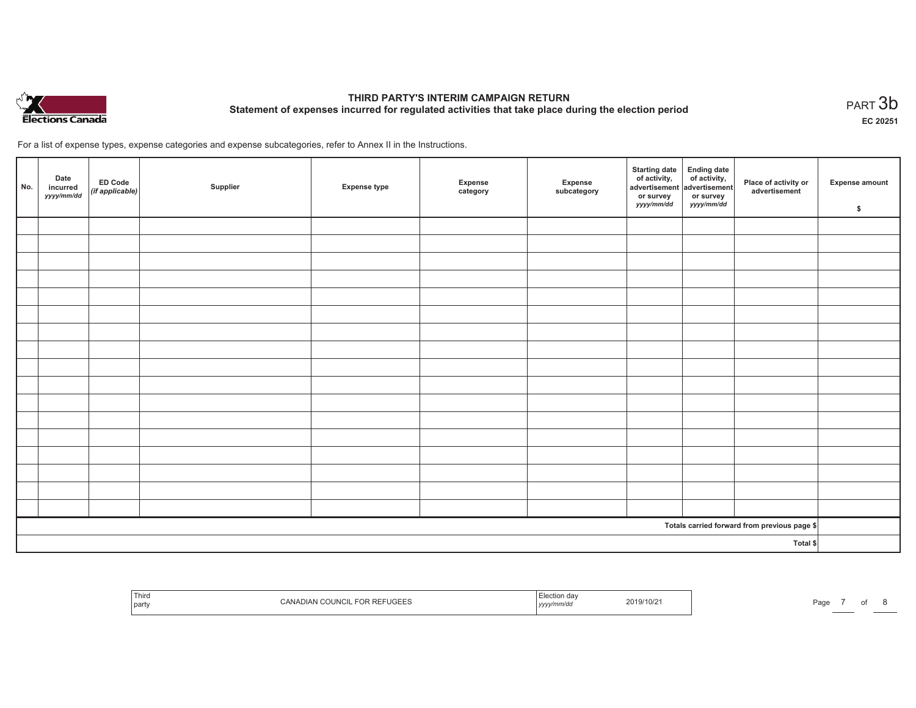

# **THIRD PARTY'S INTERIM CAMPAIGN RETURN Statement of expenses incurred for regulated activities that take place during the election period**<br>PART  $3\mathsf{b}$

**EC 20251**

For a list of expense types, expense categories and expense subcategories, refer to Annex II in the Instructions.

| No. | Date<br>incurred<br>yyyy/mm/dd | ED Code<br>(if applicable) | Supplier | <b>Expense type</b> | Expense<br>category | Expense<br>subcategory | Starting date Ending date<br>of activity, of activity,<br>advertisement advertisement<br>or survey<br><i>yyyy/mm/dd</i> | or survey<br>yyyy/mm/dd | Place of activity or<br>advertisement        | Expense amount<br>\$ |
|-----|--------------------------------|----------------------------|----------|---------------------|---------------------|------------------------|-------------------------------------------------------------------------------------------------------------------------|-------------------------|----------------------------------------------|----------------------|
|     |                                |                            |          |                     |                     |                        |                                                                                                                         |                         |                                              |                      |
|     |                                |                            |          |                     |                     |                        |                                                                                                                         |                         |                                              |                      |
|     |                                |                            |          |                     |                     |                        |                                                                                                                         |                         |                                              |                      |
|     |                                |                            |          |                     |                     |                        |                                                                                                                         |                         |                                              |                      |
|     |                                |                            |          |                     |                     |                        |                                                                                                                         |                         |                                              |                      |
|     |                                |                            |          |                     |                     |                        |                                                                                                                         |                         |                                              |                      |
|     |                                |                            |          |                     |                     |                        |                                                                                                                         |                         |                                              |                      |
|     |                                |                            |          |                     |                     |                        |                                                                                                                         |                         |                                              |                      |
|     |                                |                            |          |                     |                     |                        |                                                                                                                         |                         |                                              |                      |
|     |                                |                            |          |                     |                     |                        |                                                                                                                         |                         |                                              |                      |
|     |                                |                            |          |                     |                     |                        |                                                                                                                         |                         |                                              |                      |
|     |                                |                            |          |                     |                     |                        |                                                                                                                         |                         |                                              |                      |
|     |                                |                            |          |                     |                     |                        |                                                                                                                         |                         |                                              |                      |
|     |                                |                            |          |                     |                     |                        |                                                                                                                         |                         |                                              |                      |
|     |                                |                            |          |                     |                     |                        |                                                                                                                         |                         |                                              |                      |
|     |                                |                            |          |                     |                     |                        |                                                                                                                         |                         |                                              |                      |
|     |                                |                            |          |                     |                     |                        |                                                                                                                         |                         |                                              |                      |
|     |                                |                            |          |                     |                     |                        |                                                                                                                         |                         | Totals carried forward from previous page \$ |                      |
|     |                                |                            |          |                     |                     |                        |                                                                                                                         |                         | Total \$                                     |                      |

| <b>PREFUGEES</b><br>019/10/2<br>Page<br>party<br>,,,,, | Thiro |  | ı dav |  |  |  |  |  |
|--------------------------------------------------------|-------|--|-------|--|--|--|--|--|
|--------------------------------------------------------|-------|--|-------|--|--|--|--|--|